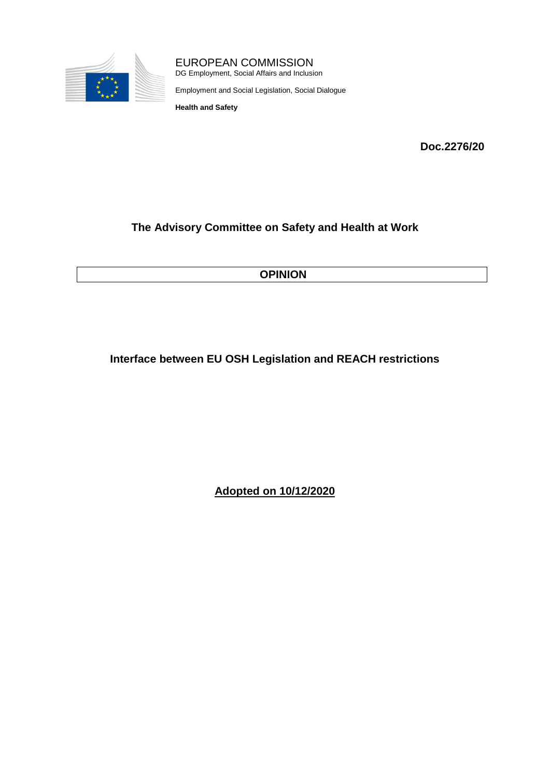

EUROPEAN COMMISSION

DG Employment, Social Affairs and Inclusion

Employment and Social Legislation, Social Dialogue

**Health and Safety**

**Doc.2276/20**

# **The Advisory Committee on Safety and Health at Work**

**OPINION**

# **Interface between EU OSH Legislation and REACH restrictions**

**Adopted on 10/12/2020**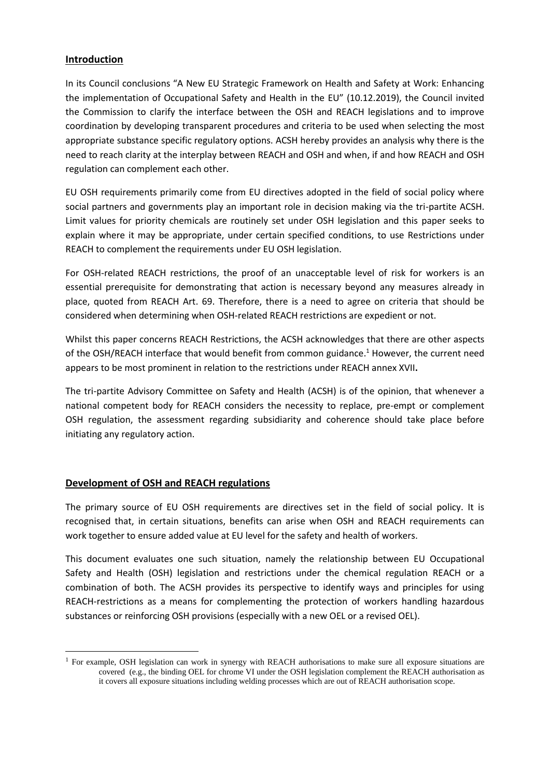### **Introduction**

In its Council conclusions "A New EU Strategic Framework on Health and Safety at Work: Enhancing the implementation of Occupational Safety and Health in the EU" (10.12.2019), the Council invited the Commission to clarify the interface between the OSH and REACH legislations and to improve coordination by developing transparent procedures and criteria to be used when selecting the most appropriate substance specific regulatory options. ACSH hereby provides an analysis why there is the need to reach clarity at the interplay between REACH and OSH and when, if and how REACH and OSH regulation can complement each other.

EU OSH requirements primarily come from EU directives adopted in the field of social policy where social partners and governments play an important role in decision making via the tri-partite ACSH. Limit values for priority chemicals are routinely set under OSH legislation and this paper seeks to explain where it may be appropriate, under certain specified conditions, to use Restrictions under REACH to complement the requirements under EU OSH legislation.

For OSH-related REACH restrictions, the proof of an unacceptable level of risk for workers is an essential prerequisite for demonstrating that action is necessary beyond any measures already in place, quoted from REACH Art. 69. Therefore, there is a need to agree on criteria that should be considered when determining when OSH-related REACH restrictions are expedient or not.

Whilst this paper concerns REACH Restrictions, the ACSH acknowledges that there are other aspects of the OSH/REACH interface that would benefit from common guidance.<sup>1</sup> However, the current need appears to be most prominent in relation to the restrictions under REACH annex XVII**.**

The tri-partite Advisory Committee on Safety and Health (ACSH) is of the opinion, that whenever a national competent body for REACH considers the necessity to replace, pre-empt or complement OSH regulation, the assessment regarding subsidiarity and coherence should take place before initiating any regulatory action.

### **Development of OSH and REACH regulations**

 $\overline{a}$ 

The primary source of EU OSH requirements are directives set in the field of social policy. It is recognised that, in certain situations, benefits can arise when OSH and REACH requirements can work together to ensure added value at EU level for the safety and health of workers.

This document evaluates one such situation, namely the relationship between EU Occupational Safety and Health (OSH) legislation and restrictions under the chemical regulation REACH or a combination of both. The ACSH provides its perspective to identify ways and principles for using REACH-restrictions as a means for complementing the protection of workers handling hazardous substances or reinforcing OSH provisions (especially with a new OEL or a revised OEL).

<sup>&</sup>lt;sup>1</sup> For example, OSH legislation can work in synergy with REACH authorisations to make sure all exposure situations are covered (e.g., the binding OEL for chrome VI under the OSH legislation complement the REACH authorisation as it covers all exposure situations including welding processes which are out of REACH authorisation scope.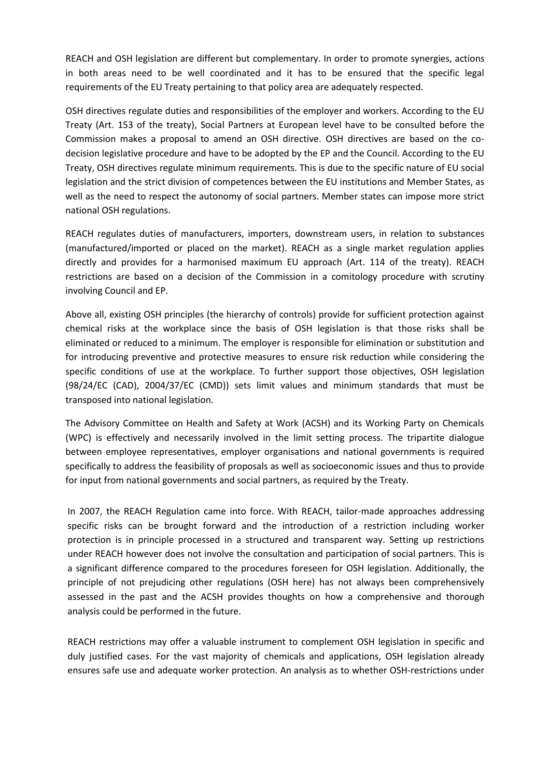REACH and OSH legislation are different but complementary. In order to promote synergies, actions in both areas need to be well coordinated and it has to be ensured that the specific legal requirements of the EU Treaty pertaining to that policy area are adequately respected.

OSH directives regulate duties and responsibilities of the employer and workers. According to the EU Treaty (Art. 153 of the treaty), Social Partners at European level have to be consulted before the Commission makes a proposal to amend an OSH directive. OSH directives are based on the codecision legislative procedure and have to be adopted by the EP and the Council. According to the EU Treaty, OSH directives regulate minimum requirements. This is due to the specific nature of EU social legislation and the strict division of competences between the EU institutions and Member States, as well as the need to respect the autonomy of social partners. Member states can impose more strict national OSH regulations.

REACH regulates duties of manufacturers, importers, downstream users, in relation to substances (manufactured/imported or placed on the market). REACH as a single market regulation applies directly and provides for a harmonised maximum EU approach (Art. 114 of the treaty). REACH restrictions are based on a decision of the Commission in a comitology procedure with scrutiny involving Council and EP.

Above all, existing OSH principles (the hierarchy of controls) provide for sufficient protection against chemical risks at the workplace since the basis of OSH legislation is that those risks shall be eliminated or reduced to a minimum. The employer is responsible for elimination or substitution and for introducing preventive and protective measures to ensure risk reduction while considering the specific conditions of use at the workplace. To further support those objectives, OSH legislation (98/24/EC (CAD), 2004/37/EC (CMD)) sets limit values and minimum standards that must be transposed into national legislation.

The Advisory Committee on Health and Safety at Work (ACSH) and its Working Party on Chemicals (WPC) is effectively and necessarily involved in the limit setting process. The tripartite dialogue between employee representatives, employer organisations and national governments is required specifically to address the feasibility of proposals as well as socioeconomic issues and thus to provide for input from national governments and social partners, as required by the Treaty.

In 2007, the REACH Regulation came into force. With REACH, tailor-made approaches addressing specific risks can be brought forward and the introduction of a restriction including worker protection is in principle processed in a structured and transparent way. Setting up restrictions under REACH however does not involve the consultation and participation of social partners. This is a significant difference compared to the procedures foreseen for OSH legislation. Additionally, the principle of not prejudicing other regulations (OSH here) has not always been comprehensively assessed in the past and the ACSH provides thoughts on how a comprehensive and thorough analysis could be performed in the future.

REACH restrictions may offer a valuable instrument to complement OSH legislation in specific and duly justified cases. For the vast majority of chemicals and applications, OSH legislation already ensures safe use and adequate worker protection. An analysis as to whether OSH-restrictions under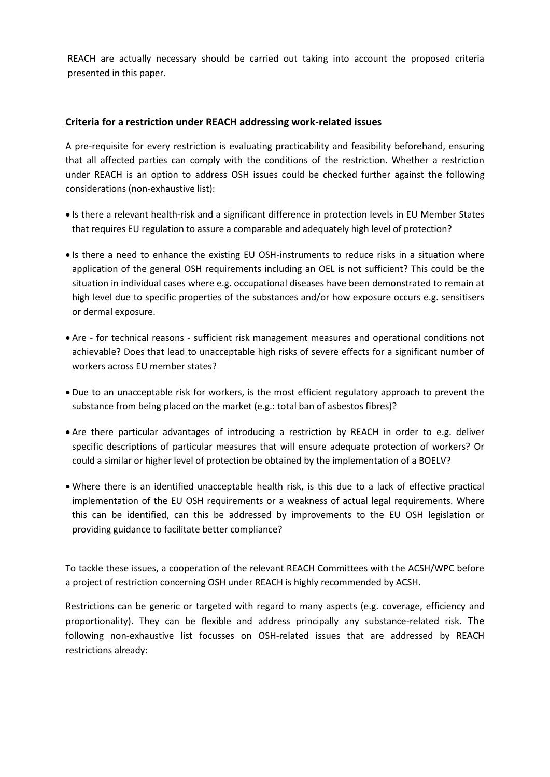REACH are actually necessary should be carried out taking into account the proposed criteria presented in this paper.

### **Criteria for a restriction under REACH addressing work-related issues**

A pre-requisite for every restriction is evaluating practicability and feasibility beforehand, ensuring that all affected parties can comply with the conditions of the restriction. Whether a restriction under REACH is an option to address OSH issues could be checked further against the following considerations (non-exhaustive list):

- Is there a relevant health-risk and a significant difference in protection levels in EU Member States that requires EU regulation to assure a comparable and adequately high level of protection?
- Is there a need to enhance the existing EU OSH-instruments to reduce risks in a situation where application of the general OSH requirements including an OEL is not sufficient? This could be the situation in individual cases where e.g. occupational diseases have been demonstrated to remain at high level due to specific properties of the substances and/or how exposure occurs e.g. sensitisers or dermal exposure.
- Are for technical reasons sufficient risk management measures and operational conditions not achievable? Does that lead to unacceptable high risks of severe effects for a significant number of workers across EU member states?
- Due to an unacceptable risk for workers, is the most efficient regulatory approach to prevent the substance from being placed on the market (e.g.: total ban of asbestos fibres)?
- Are there particular advantages of introducing a restriction by REACH in order to e.g. deliver specific descriptions of particular measures that will ensure adequate protection of workers? Or could a similar or higher level of protection be obtained by the implementation of a BOELV?
- Where there is an identified unacceptable health risk, is this due to a lack of effective practical implementation of the EU OSH requirements or a weakness of actual legal requirements. Where this can be identified, can this be addressed by improvements to the EU OSH legislation or providing guidance to facilitate better compliance?

To tackle these issues, a cooperation of the relevant REACH Committees with the ACSH/WPC before a project of restriction concerning OSH under REACH is highly recommended by ACSH.

Restrictions can be generic or targeted with regard to many aspects (e.g. coverage, efficiency and proportionality). They can be flexible and address principally any substance-related risk. The following non-exhaustive list focusses on OSH-related issues that are addressed by REACH restrictions already: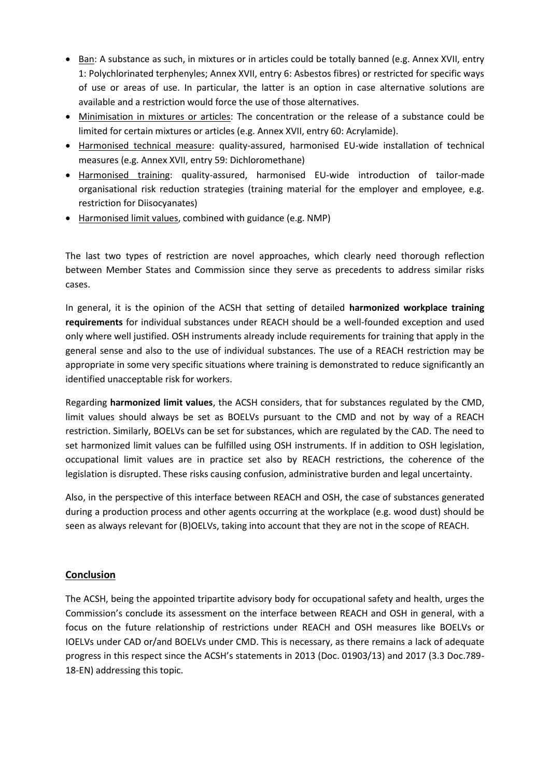- Ban: A substance as such, in mixtures or in articles could be totally banned (e.g. Annex XVII, entry 1: Polychlorinated terphenyles; Annex XVII, entry 6: Asbestos fibres) or restricted for specific ways of use or areas of use. In particular, the latter is an option in case alternative solutions are available and a restriction would force the use of those alternatives.
- Minimisation in mixtures or articles: The concentration or the release of a substance could be limited for certain mixtures or articles (e.g. Annex XVII, entry 60: Acrylamide).
- Harmonised technical measure: quality-assured, harmonised EU-wide installation of technical measures (e.g. Annex XVII, entry 59: Dichloromethane)
- Harmonised training: quality-assured, harmonised EU-wide introduction of tailor-made organisational risk reduction strategies (training material for the employer and employee, e.g. restriction for Diisocyanates)
- Harmonised limit values, combined with guidance (e.g. NMP)

The last two types of restriction are novel approaches, which clearly need thorough reflection between Member States and Commission since they serve as precedents to address similar risks cases.

In general, it is the opinion of the ACSH that setting of detailed **harmonized workplace training requirements** for individual substances under REACH should be a well-founded exception and used only where well justified. OSH instruments already include requirements for training that apply in the general sense and also to the use of individual substances. The use of a REACH restriction may be appropriate in some very specific situations where training is demonstrated to reduce significantly an identified unacceptable risk for workers.

Regarding **harmonized limit values**, the ACSH considers, that for substances regulated by the CMD, limit values should always be set as BOELVs pursuant to the CMD and not by way of a REACH restriction. Similarly, BOELVs can be set for substances, which are regulated by the CAD. The need to set harmonized limit values can be fulfilled using OSH instruments. If in addition to OSH legislation, occupational limit values are in practice set also by REACH restrictions, the coherence of the legislation is disrupted. These risks causing confusion, administrative burden and legal uncertainty.

Also, in the perspective of this interface between REACH and OSH, the case of substances generated during a production process and other agents occurring at the workplace (e.g. wood dust) should be seen as always relevant for (B)OELVs, taking into account that they are not in the scope of REACH.

## **Conclusion**

The ACSH, being the appointed tripartite advisory body for occupational safety and health, urges the Commission's conclude its assessment on the interface between REACH and OSH in general, with a focus on the future relationship of restrictions under REACH and OSH measures like BOELVs or IOELVs under CAD or/and BOELVs under CMD. This is necessary, as there remains a lack of adequate progress in this respect since the ACSH's statements in 2013 (Doc. 01903/13) and 2017 (3.3 Doc.789- 18-EN) addressing this topic.